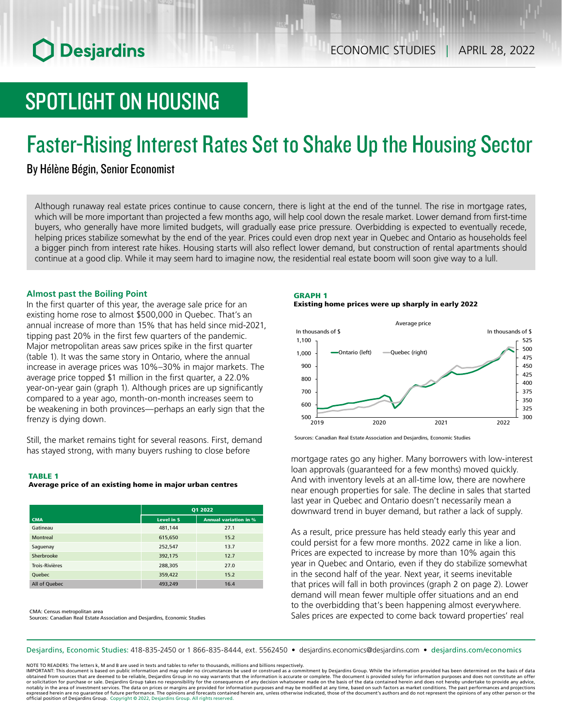# **O** Desjardins

# SPOTLIGHT ON HOUSING

# Faster-Rising Interest Rates Set to Shake Up the Housing Sector

# By Hélène Bégin, Senior Economist

Although runaway real estate prices continue to cause concern, there is light at the end of the tunnel. The rise in mortgage rates, which will be more important than projected a few months ago, will help cool down the resale market. Lower demand from first-time buyers, who generally have more limited budgets, will gradually ease price pressure. Overbidding is expected to eventually recede, helping prices stabilize somewhat by the end of the year. Prices could even drop next year in Quebec and Ontario as households feel a bigger pinch from interest rate hikes. Housing starts will also reflect lower demand, but construction of rental apartments should continue at a good clip. While it may seem hard to imagine now, the residential real estate boom will soon give way to a lull.

### **Almost past the Boiling Point**

In the first quarter of this year, the average sale price for an existing home rose to almost \$500,000 in Quebec. That's an annual increase of more than 15% that has held since mid-2021, tipping past 20% in the first few quarters of the pandemic. Major metropolitan areas saw prices spike in the first quarter (table 1). It was the same story in Ontario, where the annual increase in average prices was 10%–30% in major markets. The average price topped \$1 million in the first quarter, a 22.0% year-on-year gain (graph 1). Although prices are up significantly compared to a year ago, month-on-month increases seem to be weakening in both provinces—perhaps an early sign that the frenzy is dying down.

Still, the market remains tight for several reasons. First, demand has stayed strong, with many buyers rushing to close before mortgage rates go any higher. Many borrowers with low‑interest

#### TABLE 1

#### Average price of an existing home in major urban centres

|                       | Q1 2022    |                              |  |  |
|-----------------------|------------|------------------------------|--|--|
| <b>CMA</b>            | Level in S | <b>Annual variation in %</b> |  |  |
| Gatineau              | 481,144    | 27.1                         |  |  |
| <b>Montreal</b>       | 615,650    | 15.2                         |  |  |
| Saguenay              | 252,547    | 13.7                         |  |  |
| Sherbrooke            | 392,175    | 12.7                         |  |  |
| <b>Trois-Rivières</b> | 288,305    | 27.0                         |  |  |
| Quebec                | 359,422    | 15.2                         |  |  |
| All of Quebec         | 493,249    | 16.4                         |  |  |

CMA: Census metropolitan area Sources: Canadian Real Estate Association and Desjardins, Economic Studies

## GRAPH 1

#### Existing home prices were up sharply in early 2022



Sources: Canadian Real Estate Association and Desjardins, Economic Studies

loan approvals (guaranteed for a few months) moved quickly. And with inventory levels at an all-time low, there are nowhere near enough properties for sale. The decline in sales that started last year in Quebec and Ontario doesn't necessarily mean a downward trend in buyer demand, but rather a lack of supply.

As a result, price pressure has held steady early this year and could persist for a few more months. 2022 came in like a lion. Prices are expected to increase by more than 10% again this year in Quebec and Ontario, even if they do stabilize somewhat in the second half of the year. Next year, it seems inevitable that prices will fall in both provinces (graph 2 on page 2). Lower demand will mean fewer multiple offer situations and an end to the overbidding that's been happening almost everywhere. Sales prices are expected to come back toward properties' real

Desjardins, Economic Studies: 418-835-2450 or 1 866-835-8444, ext. 5562450 • desjardins.economics@desjardins.com • desjardins.com/economics

NOTE TO READERS: The letters k, M and B are used in texts and tables to refer to thousands, millions and billions respectively.

IMPORTANT: This document is based on public information and may under no circumstances be used or construed as a commitment by Desjardins Group. While the information provided has been determined on the basis of data obtained from sources that are deemed to be reliable, Desjardins Group in no way warrants that the information is accurate or complete. The document is provided solely for information purposes and does not constitute an of notably in the area of investment services. The data on prices or margins are provided for information purposes and may be modified at any time, based on such factors as market conditions. The past performances and project expressed herein are no quarantee of future performance. The opinions and forecasts contained herein are, unless otherwise indicated, those of the document's authors and do not represent the opinions of any other person or official position of Desjardins Group. Copyright © 2022, Desjardins Group. All rights reserved.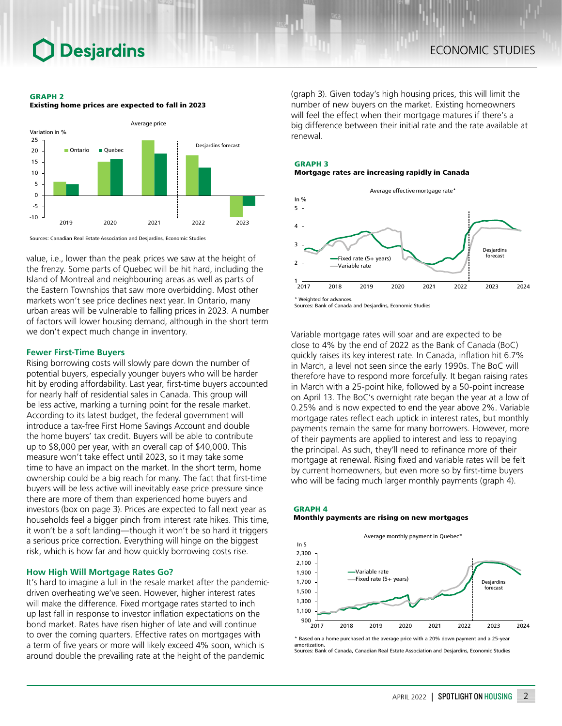#### GRAPH 2

Existing home prices are expected to fall in 2023



Sources: Canadian Real Estate Association and Desjardins, Economic Studies

value, i.e., lower than the peak prices we saw at the height of the frenzy. Some parts of Quebec will be hit hard, including the Island of Montreal and neighbouring areas as well as parts of the Eastern Townships that saw more overbidding. Most other markets won't see price declines next year. In Ontario, many urban areas will be vulnerable to falling prices in 2023. A number of factors will lower housing demand, although in the short term we don't expect much change in inventory.

### **Fewer First-Time Buyers**

Rising borrowing costs will slowly pare down the number of potential buyers, especially younger buyers who will be harder hit by eroding affordability. Last year, first-time buyers accounted for nearly half of residential sales in Canada. This group will be less active, marking a turning point for the resale market. According to its latest budget, the federal government will introduce a tax‑free First Home Savings Account and double the home buyers' tax credit. Buyers will be able to contribute up to \$8,000 per year, with an overall cap of \$40,000. This measure won't take effect until 2023, so it may take some time to have an impact on the market. In the short term, home ownership could be a big reach for many. The fact that first-time buyers will be less active will inevitably ease price pressure since there are more of them than experienced home buyers and investors (box on page 3). Prices are expected to fall next year as households feel a bigger pinch from interest rate hikes. This time, it won't be a soft landing—though it won't be so hard it triggers a serious price correction. Everything will hinge on the biggest risk, which is how far and how quickly borrowing costs rise.

### **How High Will Mortgage Rates Go?**

It's hard to imagine a lull in the resale market after the pandemicdriven overheating we've seen. However, higher interest rates will make the difference. Fixed mortgage rates started to inch up last fall in response to investor inflation expectations on the bond market. Rates have risen higher of late and will continue to over the coming quarters. Effective rates on mortgages with a term of five years or more will likely exceed 4% soon, which is around double the prevailing rate at the height of the pandemic

(graph 3). Given today's high housing prices, this will limit the number of new buyers on the market. Existing homeowners will feel the effect when their mortgage matures if there's a big difference between their initial rate and the rate available at renewal.

#### GRAPH 3





Sources: Bank of Canada and Desjardins, Economic Studies

Variable mortgage rates will soar and are expected to be close to 4% by the end of 2022 as the Bank of Canada (BoC) quickly raises its key interest rate. In Canada, inflation hit 6.7% in March, a level not seen since the early 1990s. The BoC will therefore have to respond more forcefully. It began raising rates in March with a 25-point hike, followed by a 50-point increase on April 13. The BoC's overnight rate began the year at a low of 0.25% and is now expected to end the year above 2%. Variable mortgage rates reflect each uptick in interest rates, but monthly payments remain the same for many borrowers. However, more of their payments are applied to interest and less to repaying the principal. As such, they'll need to refinance more of their mortgage at renewal. Rising fixed and variable rates will be felt by current homeowners, but even more so by first-time buyers who will be facing much larger monthly payments (graph 4).

### GRAPH 4 Monthly payments are rising on new mortgages



\* Based on a home purchased at the average price with a 20% down payment and a 25-year amortization. Sources: Bank of Canada, Canadian Real Estate Association and Desjardins, Economic Studies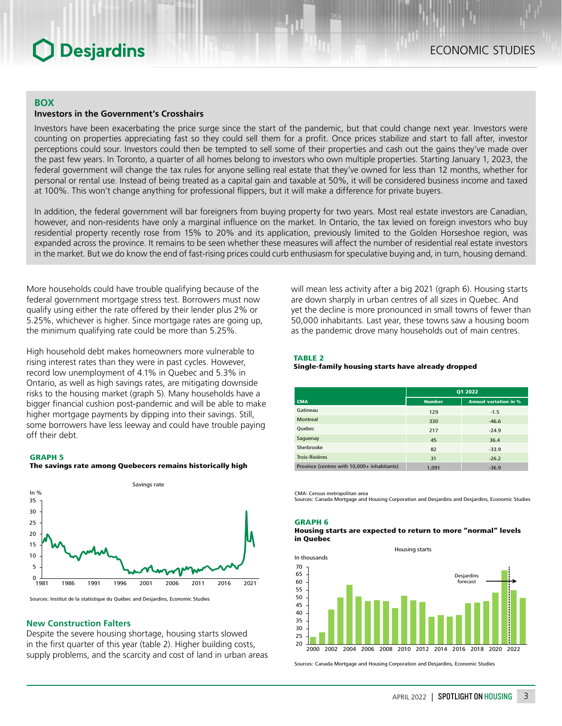# **Desjardins**

### **BOX**

### **Investors in the Government's Crosshairs**

Investors have been exacerbating the price surge since the start of the pandemic, but that could change next year. Investors were counting on properties appreciating fast so they could sell them for a profit. Once prices stabilize and start to fall after, investor perceptions could sour. Investors could then be tempted to sell some of their properties and cash out the gains they've made over the past few years. In Toronto, a quarter of all homes belong to investors who own multiple properties. Starting January 1, 2023, the federal government will change the tax rules for anyone selling real estate that they've owned for less than 12 months, whether for personal or rental use. Instead of being treated as a capital gain and taxable at 50%, it will be considered business income and taxed at 100%. This won't change anything for professional flippers, but it will make a difference for private buyers.

In addition, the federal government will bar foreigners from buying property for two years. Most real estate investors are Canadian, however, and non-residents have only a marginal influence on the market. In Ontario, the tax levied on foreign investors who buy residential property recently rose from 15% to 20% and its application, previously limited to the Golden Horseshoe region, was expanded across the province. It remains to be seen whether these measures will affect the number of residential real estate investors in the market. But we do know the end of fast-rising prices could curb enthusiasm for speculative buying and, in turn, housing demand.

More households could have trouble qualifying because of the federal government mortgage stress test. Borrowers must now qualify using either the rate offered by their lender plus 2% or 5.25%, whichever is higher. Since mortgage rates are going up, the minimum qualifying rate could be more than 5.25%.

High household debt makes homeowners more vulnerable to rising interest rates than they were in past cycles. However, record low unemployment of 4.1% in Quebec and 5.3% in Ontario, as well as high savings rates, are mitigating downside risks to the housing market (graph 5). Many households have a bigger financial cushion post-pandemic and will be able to make higher mortgage payments by dipping into their savings. Still, some borrowers have less leeway and could have trouble paying off their debt.

#### GRAPH 5





Sources: Institut de la statistique du Québec and Desjardins, Economic Studies

### **New Construction Falters**

Despite the severe housing shortage, housing starts slowed in the first quarter of this year (table 2). Higher building costs, supply problems, and the scarcity and cost of land in urban areas will mean less activity after a big 2021 (graph 6). Housing starts are down sharply in urban centres of all sizes in Quebec. And yet the decline is more pronounced in small towns of fewer than 50,000 inhabitants. Last year, these towns saw a housing boom as the pandemic drove many households out of main centres.

#### TABLE 2

#### Single-family housing starts have already dropped

|                                             | Q1 2022       |                              |  |  |
|---------------------------------------------|---------------|------------------------------|--|--|
| <b>CMA</b>                                  | <b>Number</b> | <b>Annual variation in %</b> |  |  |
| Gatineau                                    | 129           | $-1.5$                       |  |  |
| <b>Montreal</b>                             | 330           | $-46.6$                      |  |  |
| Quebec                                      | 217           | $-24.9$                      |  |  |
| Saguenay                                    | 45            | 36.4                         |  |  |
| Sherbrooke                                  | 82            | $-33.9$                      |  |  |
| <b>Trois-Rivières</b>                       | 31            | $-26.2$                      |  |  |
| Province (centres with 10,000+ inhabitants) | 1,091         | $-36.9$                      |  |  |

CMA: Census metropolitan area

Sources: Canada Mortgage and Housing Corporation and Desjardins and Desjardins, Economic Studies

#### GRAPH 6

#### Housing starts are expected to return to more "normal" levels in Quebec

Housing starts



Sources: Canada Mortgage and Housing Corporation and Desjardins, Economic Studies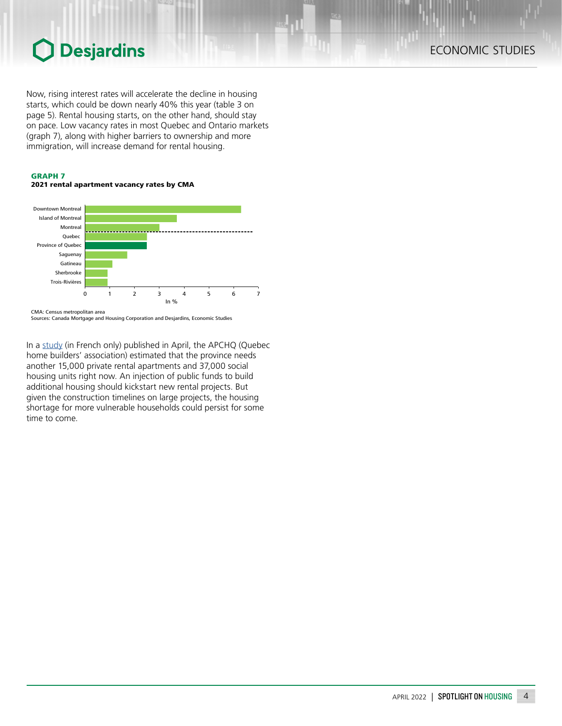# Desjardins  $\bigcap$

Now, rising interest rates will accelerate the decline in housing starts, which could be down nearly 40% this year (table 3 on page 5). Rental housing starts, on the other hand, should stay on pace. Low vacancy rates in most Quebec and Ontario markets (graph 7), along with higher barriers to ownership and more immigration, will increase demand for rental housing.

### GRAPH 7





Sources: Canada Mortgage and Housing Corporation and Desjardins, Economic Studies

In a [study](https://www.apchq.com/download/b54a1aed2c9b5500eb50e946dc5649f422b3bee9.pdf) (in French only) published in April, the APCHQ (Quebec home builders' association) estimated that the province needs another 15,000 private rental apartments and 37,000 social housing units right now. An injection of public funds to build additional housing should kickstart new rental projects. But given the construction timelines on large projects, the housing shortage for more vulnerable households could persist for some time to come.